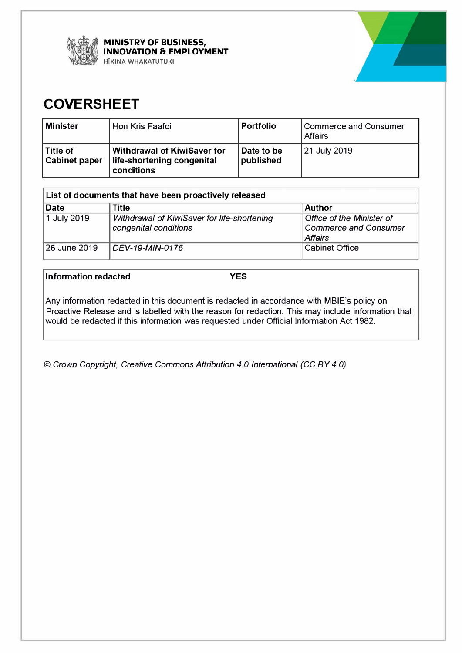

**MINISTRY OF BUSINESS, INNOVATION & EMPLOYMENT HIKINA WHAKATUTUKI** 



# **COVERSHEET**

| Minister                          | Hon Kris Faafoi                                                         | <b>Portfolio</b>        | Commerce and Consumer<br>l Affairs |
|-----------------------------------|-------------------------------------------------------------------------|-------------------------|------------------------------------|
| ∣Title of<br><b>Cabinet paper</b> | Withdrawal of KiwiSaver for<br>life-shortening congenital<br>conditions | Date to be<br>published | 21 July 2019                       |

| List of documents that have been proactively released |                                                                      |                                                                             |  |
|-------------------------------------------------------|----------------------------------------------------------------------|-----------------------------------------------------------------------------|--|
| <b>Date</b>                                           | <b>Title</b>                                                         | <b>Author</b>                                                               |  |
| 1 July 2019                                           | Withdrawal of KiwiSaver for life-shortening<br>congenital conditions | Office of the Minister of<br><b>Commerce and Consumer</b><br><b>Affairs</b> |  |
| 26 June 2019                                          | DEV-19-MIN-0176                                                      | <b>Cabinet Office</b>                                                       |  |

**Information redacted YES** 

Any information redacted in this document is redacted in accordance with MBIE's policy on Proactive Release and is labelled with the reason for redaction. This may include information that would be redacted if this information was requested under Official Information Act 1982.

© *Crown Copyright, Creative Commons Attribution 4.0 International (CC BY 4.0)*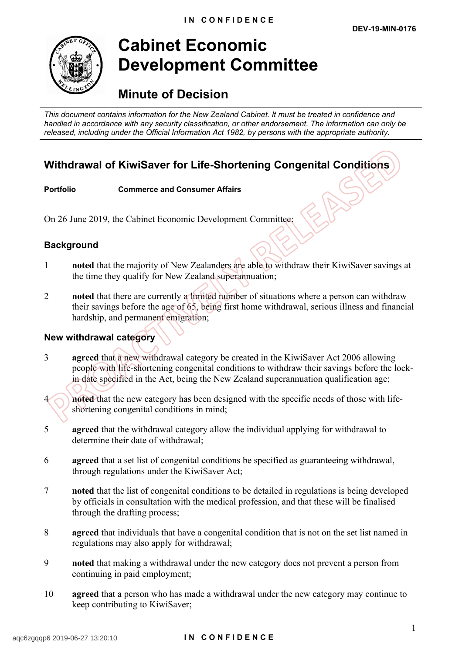

# **Cabinet Economic Development Committee**

# **Minute of Decision**

*This document contains information for the New Zealand Cabinet. It must be treated in confidence and handled in accordance with any security classification, or other endorsement. The information can only be released, including under the Official Information Act 1982, by persons with the appropriate authority.*

## **Withdrawal of KiwiSaver for Life-Shortening Congenital Conditions**

#### **Portfolio Commerce and Consumer Affairs**

On 26 June 2019, the Cabinet Economic Development Committee:

### **Background**

- 1 **noted** that the majority of New Zealanders are able to withdraw their KiwiSaver savings at the time they qualify for New Zealand superannuation;
- 2 **noted** that there are currently a limited number of situations where a person can withdraw their savings before the age of 65, being first home withdrawal, serious illness and financial hardship, and permanent emigration;

#### **New withdrawal category**

- 3 **agreed** that a new withdrawal category be created in the KiwiSaver Act 2006 allowing people with life-shortening congenital conditions to withdraw their savings before the lockin date specified in the Act, being the New Zealand superannuation qualification age;
- **noted** that the new category has been designed with the specific needs of those with lifeshortening congenital conditions in mind;
- 5 **agreed** that the withdrawal category allow the individual applying for withdrawal to determine their date of withdrawal<sup>-</sup>
- 6 **agreed** that a set list of congenital conditions be specified as guaranteeing withdrawal, through regulations under the KiwiSaver Act;
- 7 **noted** that the list of congenital conditions to be detailed in regulations is being developed by officials in consultation with the medical profession, and that these will be finalised through the drafting process;
- 8 **agreed** that individuals that have a congenital condition that is not on the set list named in regulations may also apply for withdrawal;
- 9 **noted** that making a withdrawal under the new category does not prevent a person from continuing in paid employment;
- 10 **agreed** that a person who has made a withdrawal under the new category may continue to keep contributing to KiwiSaver;

#### aqc6zgqqp6 2019-06-27 13:20:10 **I N C O N F I D E N C E**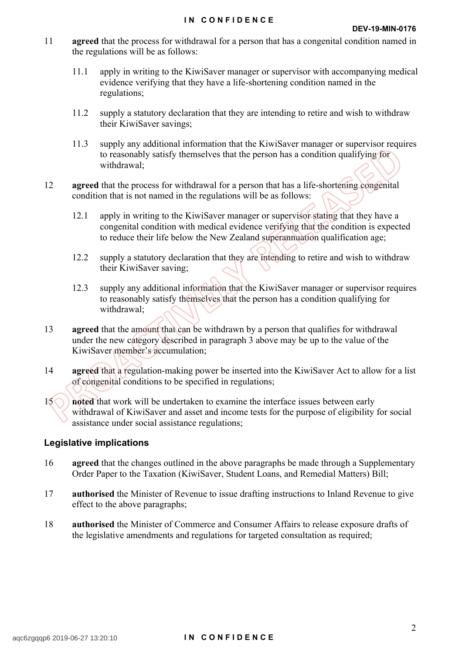- 11 **agreed** that the process for withdrawal for a person that has a congenital condition named in the regulations will be as follows:
	- 11.1 apply in writing to the KiwiSaver manager or supervisor with accompanying medical evidence verifying that they have a life-shortening condition named in the regulations;
	- 11.2 supply a statutory declaration that they are intending to retire and wish to withdraw their KiwiSaver savings;
	- 11.3 supply any additional information that the KiwiSaver manager or supervisor requires to reasonably satisfy themselves that the person has a condition qualifying for withdrawal;
- 12 **agreed** that the process for withdrawal for a person that has a life-shortening congenital condition that is not named in the regulations will be as follows:
	- 12.1 apply in writing to the KiwiSaver manager or supervisor stating that they have a congenital condition with medical evidence verifying that the condition is expected to reduce their life below the New Zealand superannuation qualification age;
	- 12.2 supply a statutory declaration that they are intending to retire and wish to withdraw their KiwiSaver saving;
	- 12.3 supply any additional information that the KiwiSaver manager or supervisor requires to reasonably satisfy themselves that the person has a condition qualifying for withdrawal;
- 13 **agreed** that the amount that can be withdrawn by a person that qualifies for withdrawal under the new category described in paragraph 3 above may be up to the value of the KiwiSaver member's accumulation;
- 14 **agreed** that a regulation-making power be inserted into the KiwiSaver Act to allow for a list of congenital conditions to be specified in regulations;
- 15 **noted** that work will be undertaken to examine the interface issues between early withdrawal of KiwiSaver and asset and income tests for the purpose of eligibility for social assistance under social assistance regulations;

#### **Legislative implications**

- 16 **agreed** that the changes outlined in the above paragraphs be made through a Supplementary Order Paper to the Taxation (KiwiSaver, Student Loans, and Remedial Matters) Bill;
- 17 **authorised** the Minister of Revenue to issue drafting instructions to Inland Revenue to give effect to the above paragraphs;
- 18 **authorised** the Minister of Commerce and Consumer Affairs to release exposure drafts of the legislative amendments and regulations for targeted consultation as required;